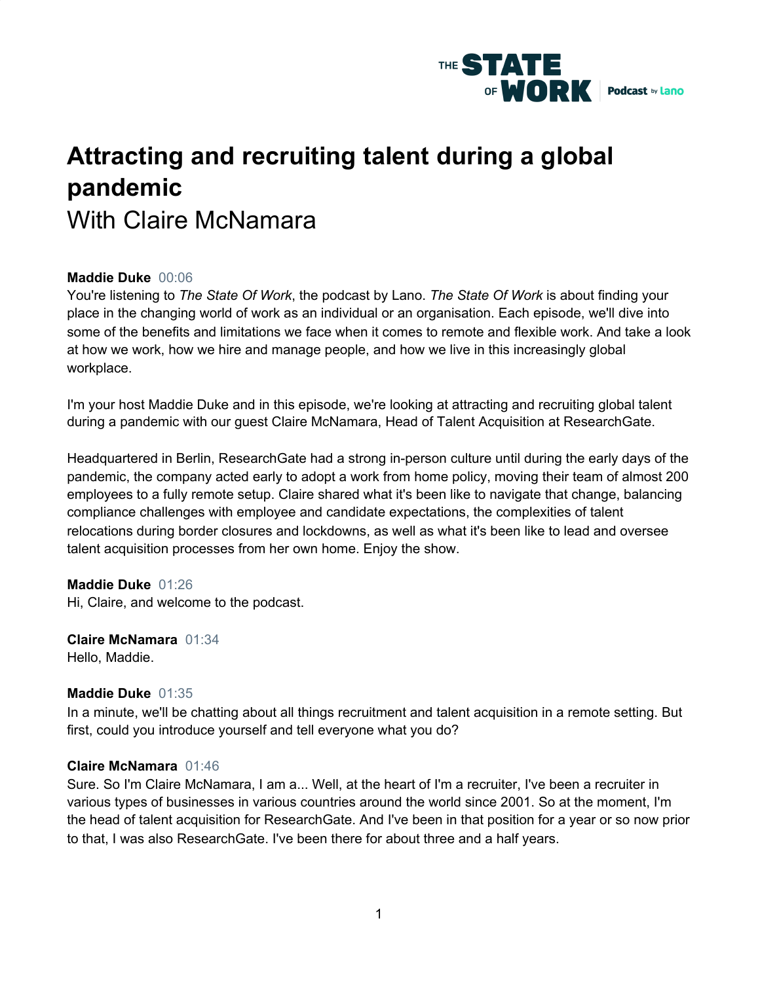

# **Attracting and recruiting talent during a global pandemic** With Claire McNamara

# **Maddie Duke** 00:06

You're listening to *The State Of Work*, the podcast by Lano. *The State Of Work* is about finding your place in the changing world of work as an individual or an organisation. Each episode, we'll dive into some of the benefits and limitations we face when it comes to remote and flexible work. And take a look at how we work, how we hire and manage people, and how we live in this increasingly global workplace.

I'm your host Maddie Duke and in this episode, we're looking at attracting and recruiting global talent during a pandemic with our guest Claire McNamara, Head of Talent Acquisition at ResearchGate.

Headquartered in Berlin, ResearchGate had a strong in-person culture until during the early days of the pandemic, the company acted early to adopt a work from home policy, moving their team of almost 200 employees to a fully remote setup. Claire shared what it's been like to navigate that change, balancing compliance challenges with employee and candidate expectations, the complexities of talent relocations during border closures and lockdowns, as well as what it's been like to lead and oversee talent acquisition processes from her own home. Enjoy the show.

## **Maddie Duke** 01:26

Hi, Claire, and welcome to the podcast.

**Claire McNamara** 01:34 Hello, Maddie.

## **Maddie Duke** 01:35

In a minute, we'll be chatting about all things recruitment and talent acquisition in a remote setting. But first, could you introduce yourself and tell everyone what you do?

#### **Claire McNamara** 01:46

Sure. So I'm Claire McNamara, I am a... Well, at the heart of I'm a recruiter, I've been a recruiter in various types of businesses in various countries around the world since 2001. So at the moment, I'm the head of talent acquisition for ResearchGate. And I've been in that position for a year or so now prior to that, I was also ResearchGate. I've been there for about three and a half years.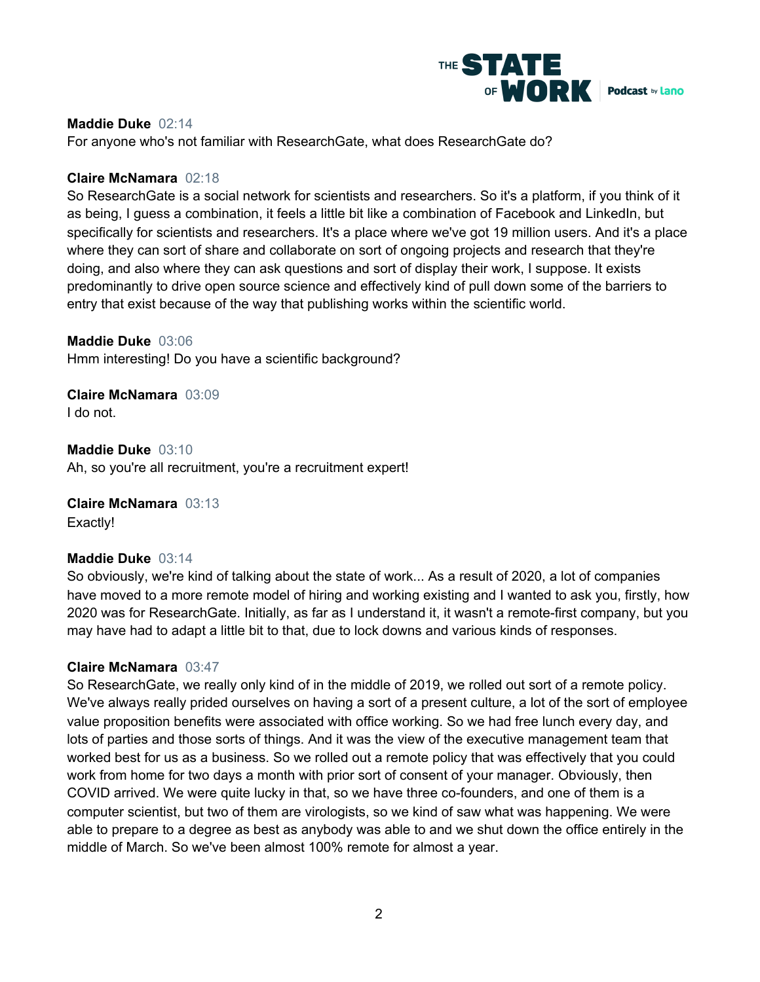

## **Maddie Duke** 02:14

For anyone who's not familiar with ResearchGate, what does ResearchGate do?

## **Claire McNamara** 02:18

So ResearchGate is a social network for scientists and researchers. So it's a platform, if you think of it as being, I guess a combination, it feels a little bit like a combination of Facebook and LinkedIn, but specifically for scientists and researchers. It's a place where we've got 19 million users. And it's a place where they can sort of share and collaborate on sort of ongoing projects and research that they're doing, and also where they can ask questions and sort of display their work, I suppose. It exists predominantly to drive open source science and effectively kind of pull down some of the barriers to entry that exist because of the way that publishing works within the scientific world.

**Maddie Duke** 03:06

Hmm interesting! Do you have a scientific background?

**Claire McNamara** 03:09 I do not.

**Maddie Duke** 03:10 Ah, so you're all recruitment, you're a recruitment expert!

**Claire McNamara** 03:13

Exactly!

## **Maddie Duke** 03:14

So obviously, we're kind of talking about the state of work... As a result of 2020, a lot of companies have moved to a more remote model of hiring and working existing and I wanted to ask you, firstly, how 2020 was for ResearchGate. Initially, as far as I understand it, it wasn't a remote-first company, but you may have had to adapt a little bit to that, due to lock downs and various kinds of responses.

## **Claire McNamara** 03:47

So ResearchGate, we really only kind of in the middle of 2019, we rolled out sort of a remote policy. We've always really prided ourselves on having a sort of a present culture, a lot of the sort of employee value proposition benefits were associated with office working. So we had free lunch every day, and lots of parties and those sorts of things. And it was the view of the executive management team that worked best for us as a business. So we rolled out a remote policy that was effectively that you could work from home for two days a month with prior sort of consent of your manager. Obviously, then COVID arrived. We were quite lucky in that, so we have three co-founders, and one of them is a computer scientist, but two of them are virologists, so we kind of saw what was happening. We were able to prepare to a degree as best as anybody was able to and we shut down the office entirely in the middle of March. So we've been almost 100% remote for almost a year.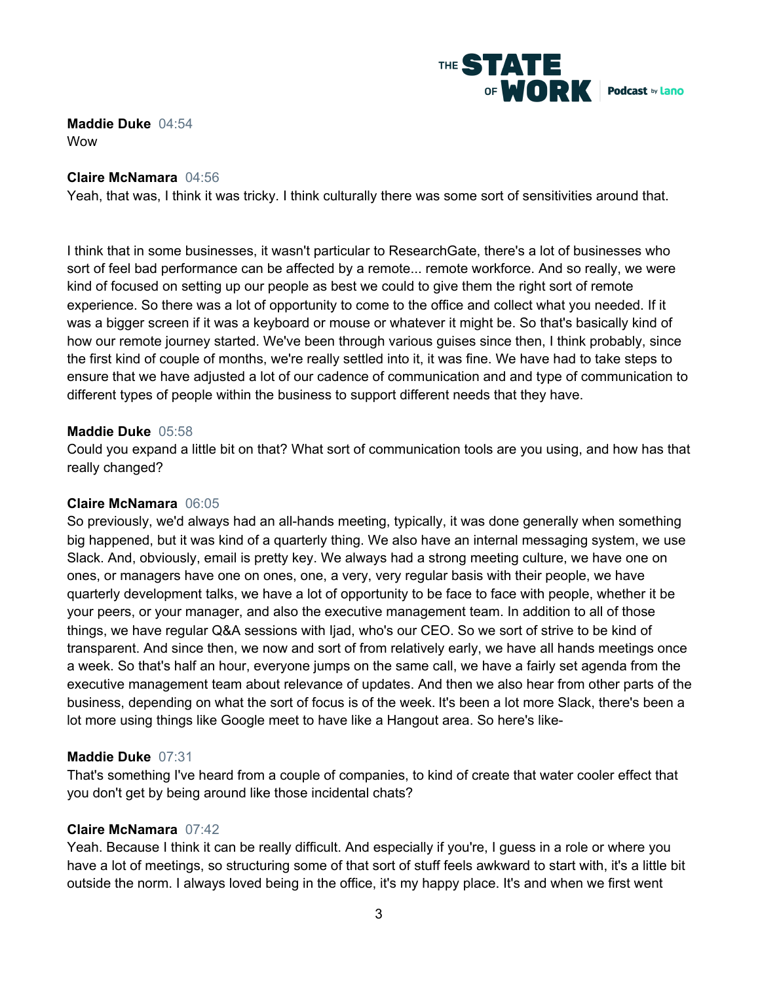

**Maddie Duke** 04:54 Wow

# **Claire McNamara** 04:56

Yeah, that was, I think it was tricky. I think culturally there was some sort of sensitivities around that.

I think that in some businesses, it wasn't particular to ResearchGate, there's a lot of businesses who sort of feel bad performance can be affected by a remote... remote workforce. And so really, we were kind of focused on setting up our people as best we could to give them the right sort of remote experience. So there was a lot of opportunity to come to the office and collect what you needed. If it was a bigger screen if it was a keyboard or mouse or whatever it might be. So that's basically kind of how our remote journey started. We've been through various guises since then, I think probably, since the first kind of couple of months, we're really settled into it, it was fine. We have had to take steps to ensure that we have adjusted a lot of our cadence of communication and and type of communication to different types of people within the business to support different needs that they have.

# **Maddie Duke** 05:58

Could you expand a little bit on that? What sort of communication tools are you using, and how has that really changed?

## **Claire McNamara** 06:05

So previously, we'd always had an all-hands meeting, typically, it was done generally when something big happened, but it was kind of a quarterly thing. We also have an internal messaging system, we use Slack. And, obviously, email is pretty key. We always had a strong meeting culture, we have one on ones, or managers have one on ones, one, a very, very regular basis with their people, we have quarterly development talks, we have a lot of opportunity to be face to face with people, whether it be your peers, or your manager, and also the executive management team. In addition to all of those things, we have regular Q&A sessions with Ijad, who's our CEO. So we sort of strive to be kind of transparent. And since then, we now and sort of from relatively early, we have all hands meetings once a week. So that's half an hour, everyone jumps on the same call, we have a fairly set agenda from the executive management team about relevance of updates. And then we also hear from other parts of the business, depending on what the sort of focus is of the week. It's been a lot more Slack, there's been a lot more using things like Google meet to have like a Hangout area. So here's like-

# **Maddie Duke** 07:31

That's something I've heard from a couple of companies, to kind of create that water cooler effect that you don't get by being around like those incidental chats?

## **Claire McNamara** 07:42

Yeah. Because I think it can be really difficult. And especially if you're, I guess in a role or where you have a lot of meetings, so structuring some of that sort of stuff feels awkward to start with, it's a little bit outside the norm. I always loved being in the office, it's my happy place. It's and when we first went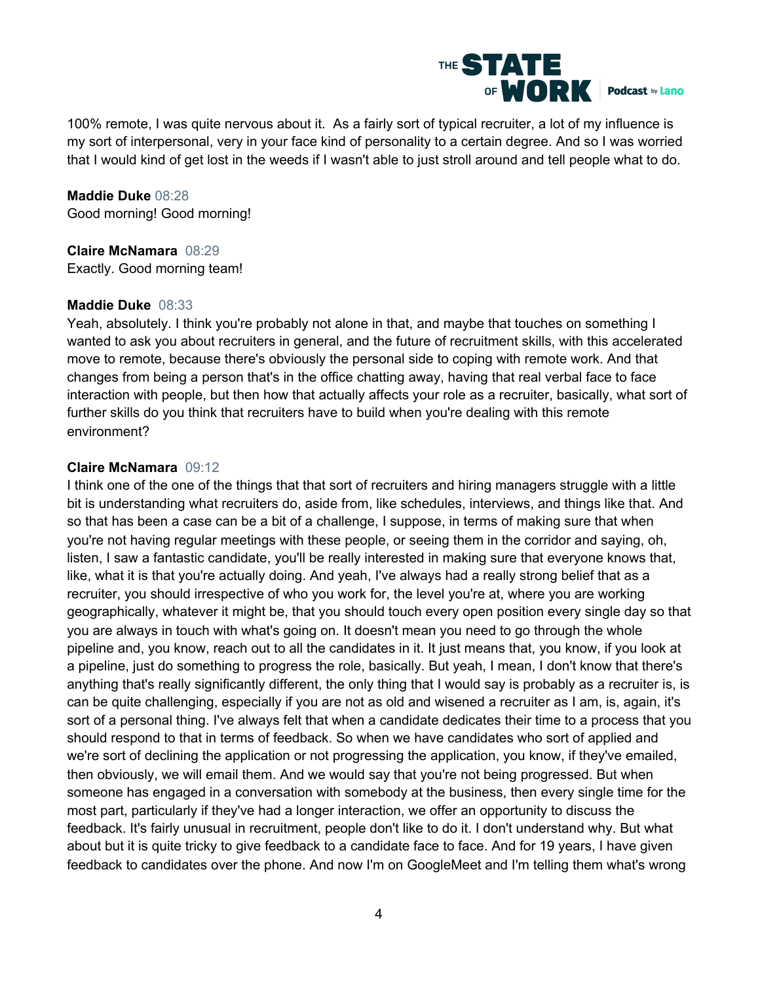

100% remote, I was quite nervous about it. As a fairly sort of typical recruiter, a lot of my influence is my sort of interpersonal, very in your face kind of personality to a certain degree. And so I was worried that I would kind of get lost in the weeds if I wasn't able to just stroll around and tell people what to do.

**Maddie Duke** 08:28 Good morning! Good morning!

**Claire McNamara** 08:29 Exactly. Good morning team!

# **Maddie Duke** 08:33

Yeah, absolutely. I think you're probably not alone in that, and maybe that touches on something I wanted to ask you about recruiters in general, and the future of recruitment skills, with this accelerated move to remote, because there's obviously the personal side to coping with remote work. And that changes from being a person that's in the office chatting away, having that real verbal face to face interaction with people, but then how that actually affects your role as a recruiter, basically, what sort of further skills do you think that recruiters have to build when you're dealing with this remote environment?

# **Claire McNamara** 09:12

I think one of the one of the things that that sort of recruiters and hiring managers struggle with a little bit is understanding what recruiters do, aside from, like schedules, interviews, and things like that. And so that has been a case can be a bit of a challenge, I suppose, in terms of making sure that when you're not having regular meetings with these people, or seeing them in the corridor and saying, oh, listen, I saw a fantastic candidate, you'll be really interested in making sure that everyone knows that, like, what it is that you're actually doing. And yeah, I've always had a really strong belief that as a recruiter, you should irrespective of who you work for, the level you're at, where you are working geographically, whatever it might be, that you should touch every open position every single day so that you are always in touch with what's going on. It doesn't mean you need to go through the whole pipeline and, you know, reach out to all the candidates in it. It just means that, you know, if you look at a pipeline, just do something to progress the role, basically. But yeah, I mean, I don't know that there's anything that's really significantly different, the only thing that I would say is probably as a recruiter is, is can be quite challenging, especially if you are not as old and wisened a recruiter as I am, is, again, it's sort of a personal thing. I've always felt that when a candidate dedicates their time to a process that you should respond to that in terms of feedback. So when we have candidates who sort of applied and we're sort of declining the application or not progressing the application, you know, if they've emailed, then obviously, we will email them. And we would say that you're not being progressed. But when someone has engaged in a conversation with somebody at the business, then every single time for the most part, particularly if they've had a longer interaction, we offer an opportunity to discuss the feedback. It's fairly unusual in recruitment, people don't like to do it. I don't understand why. But what about but it is quite tricky to give feedback to a candidate face to face. And for 19 years, I have given feedback to candidates over the phone. And now I'm on GoogleMeet and I'm telling them what's wrong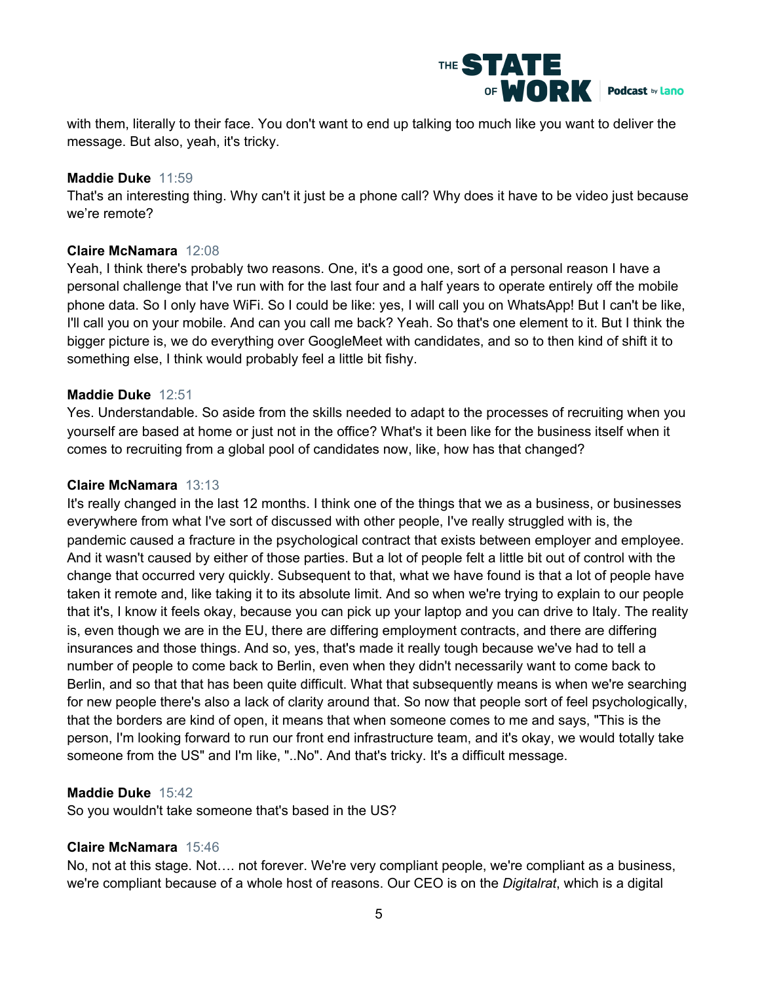

with them, literally to their face. You don't want to end up talking too much like you want to deliver the message. But also, yeah, it's tricky.

# **Maddie Duke** 11:59

That's an interesting thing. Why can't it just be a phone call? Why does it have to be video just because we're remote?

# **Claire McNamara** 12:08

Yeah, I think there's probably two reasons. One, it's a good one, sort of a personal reason I have a personal challenge that I've run with for the last four and a half years to operate entirely off the mobile phone data. So I only have WiFi. So I could be like: yes, I will call you on WhatsApp! But I can't be like, I'll call you on your mobile. And can you call me back? Yeah. So that's one element to it. But I think the bigger picture is, we do everything over GoogleMeet with candidates, and so to then kind of shift it to something else, I think would probably feel a little bit fishy.

# **Maddie Duke** 12:51

Yes. Understandable. So aside from the skills needed to adapt to the processes of recruiting when you yourself are based at home or just not in the office? What's it been like for the business itself when it comes to recruiting from a global pool of candidates now, like, how has that changed?

# **Claire McNamara** 13:13

It's really changed in the last 12 months. I think one of the things that we as a business, or businesses everywhere from what I've sort of discussed with other people, I've really struggled with is, the pandemic caused a fracture in the psychological contract that exists between employer and employee. And it wasn't caused by either of those parties. But a lot of people felt a little bit out of control with the change that occurred very quickly. Subsequent to that, what we have found is that a lot of people have taken it remote and, like taking it to its absolute limit. And so when we're trying to explain to our people that it's, I know it feels okay, because you can pick up your laptop and you can drive to Italy. The reality is, even though we are in the EU, there are differing employment contracts, and there are differing insurances and those things. And so, yes, that's made it really tough because we've had to tell a number of people to come back to Berlin, even when they didn't necessarily want to come back to Berlin, and so that that has been quite difficult. What that subsequently means is when we're searching for new people there's also a lack of clarity around that. So now that people sort of feel psychologically, that the borders are kind of open, it means that when someone comes to me and says, "This is the person, I'm looking forward to run our front end infrastructure team, and it's okay, we would totally take someone from the US" and I'm like, "..No". And that's tricky. It's a difficult message.

# **Maddie Duke** 15:42

So you wouldn't take someone that's based in the US?

# **Claire McNamara** 15:46

No, not at this stage. Not…. not forever. We're very compliant people, we're compliant as a business, we're compliant because of a whole host of reasons. Our CEO is on the *Digitalrat*, which is a digital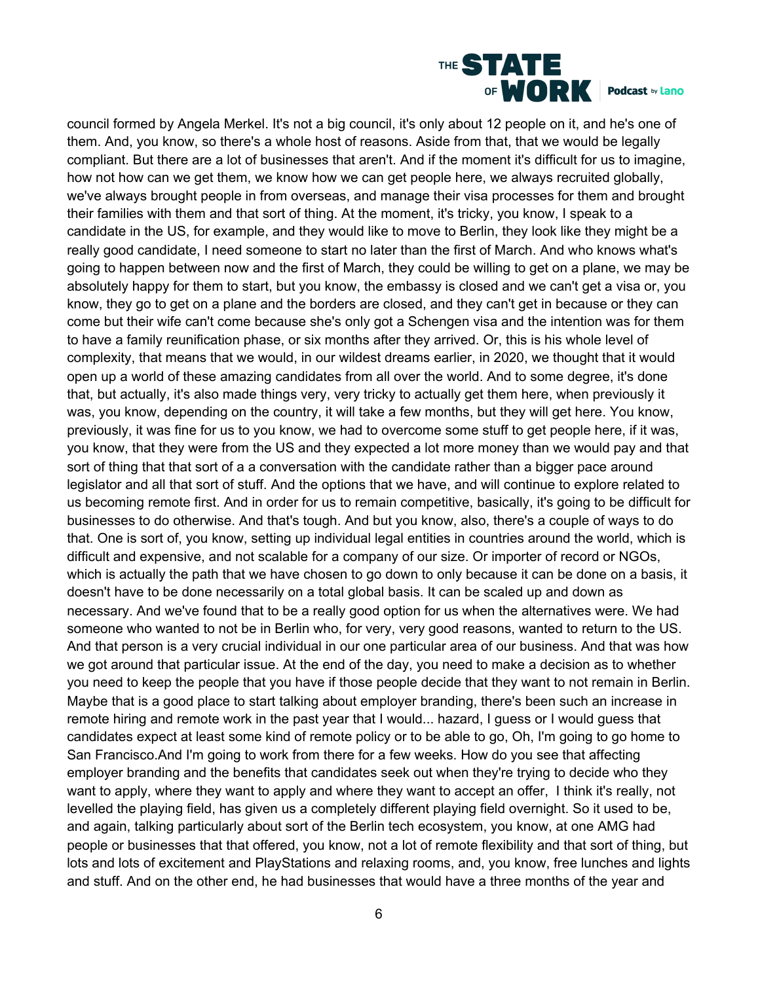

council formed by Angela Merkel. It's not a big council, it's only about 12 people on it, and he's one of them. And, you know, so there's a whole host of reasons. Aside from that, that we would be legally compliant. But there are a lot of businesses that aren't. And if the moment it's difficult for us to imagine, how not how can we get them, we know how we can get people here, we always recruited globally, we've always brought people in from overseas, and manage their visa processes for them and brought their families with them and that sort of thing. At the moment, it's tricky, you know, I speak to a candidate in the US, for example, and they would like to move to Berlin, they look like they might be a really good candidate, I need someone to start no later than the first of March. And who knows what's going to happen between now and the first of March, they could be willing to get on a plane, we may be absolutely happy for them to start, but you know, the embassy is closed and we can't get a visa or, you know, they go to get on a plane and the borders are closed, and they can't get in because or they can come but their wife can't come because she's only got a Schengen visa and the intention was for them to have a family reunification phase, or six months after they arrived. Or, this is his whole level of complexity, that means that we would, in our wildest dreams earlier, in 2020, we thought that it would open up a world of these amazing candidates from all over the world. And to some degree, it's done that, but actually, it's also made things very, very tricky to actually get them here, when previously it was, you know, depending on the country, it will take a few months, but they will get here. You know, previously, it was fine for us to you know, we had to overcome some stuff to get people here, if it was, you know, that they were from the US and they expected a lot more money than we would pay and that sort of thing that that sort of a a conversation with the candidate rather than a bigger pace around legislator and all that sort of stuff. And the options that we have, and will continue to explore related to us becoming remote first. And in order for us to remain competitive, basically, it's going to be difficult for businesses to do otherwise. And that's tough. And but you know, also, there's a couple of ways to do that. One is sort of, you know, setting up individual legal entities in countries around the world, which is difficult and expensive, and not scalable for a company of our size. Or importer of record or NGOs, which is actually the path that we have chosen to go down to only because it can be done on a basis, it doesn't have to be done necessarily on a total global basis. It can be scaled up and down as necessary. And we've found that to be a really good option for us when the alternatives were. We had someone who wanted to not be in Berlin who, for very, very good reasons, wanted to return to the US. And that person is a very crucial individual in our one particular area of our business. And that was how we got around that particular issue. At the end of the day, you need to make a decision as to whether you need to keep the people that you have if those people decide that they want to not remain in Berlin. Maybe that is a good place to start talking about employer branding, there's been such an increase in remote hiring and remote work in the past year that I would... hazard, I guess or I would guess that candidates expect at least some kind of remote policy or to be able to go, Oh, I'm going to go home to San Francisco.And I'm going to work from there for a few weeks. How do you see that affecting employer branding and the benefits that candidates seek out when they're trying to decide who they want to apply, where they want to apply and where they want to accept an offer, I think it's really, not levelled the playing field, has given us a completely different playing field overnight. So it used to be, and again, talking particularly about sort of the Berlin tech ecosystem, you know, at one AMG had people or businesses that that offered, you know, not a lot of remote flexibility and that sort of thing, but lots and lots of excitement and PlayStations and relaxing rooms, and, you know, free lunches and lights and stuff. And on the other end, he had businesses that would have a three months of the year and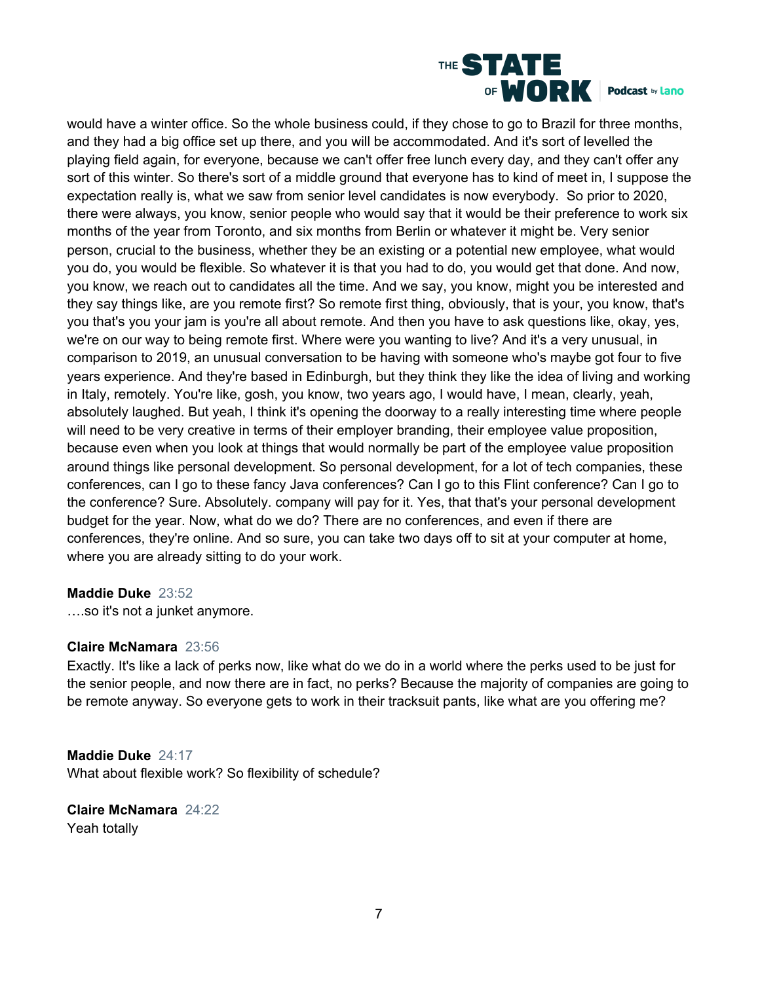

would have a winter office. So the whole business could, if they chose to go to Brazil for three months, and they had a big office set up there, and you will be accommodated. And it's sort of levelled the playing field again, for everyone, because we can't offer free lunch every day, and they can't offer any sort of this winter. So there's sort of a middle ground that everyone has to kind of meet in, I suppose the expectation really is, what we saw from senior level candidates is now everybody. So prior to 2020, there were always, you know, senior people who would say that it would be their preference to work six months of the year from Toronto, and six months from Berlin or whatever it might be. Very senior person, crucial to the business, whether they be an existing or a potential new employee, what would you do, you would be flexible. So whatever it is that you had to do, you would get that done. And now, you know, we reach out to candidates all the time. And we say, you know, might you be interested and they say things like, are you remote first? So remote first thing, obviously, that is your, you know, that's you that's you your jam is you're all about remote. And then you have to ask questions like, okay, yes, we're on our way to being remote first. Where were you wanting to live? And it's a very unusual, in comparison to 2019, an unusual conversation to be having with someone who's maybe got four to five years experience. And they're based in Edinburgh, but they think they like the idea of living and working in Italy, remotely. You're like, gosh, you know, two years ago, I would have, I mean, clearly, yeah, absolutely laughed. But yeah, I think it's opening the doorway to a really interesting time where people will need to be very creative in terms of their employer branding, their employee value proposition, because even when you look at things that would normally be part of the employee value proposition around things like personal development. So personal development, for a lot of tech companies, these conferences, can I go to these fancy Java conferences? Can I go to this Flint conference? Can I go to the conference? Sure. Absolutely. company will pay for it. Yes, that that's your personal development budget for the year. Now, what do we do? There are no conferences, and even if there are conferences, they're online. And so sure, you can take two days off to sit at your computer at home, where you are already sitting to do your work.

## **Maddie Duke** 23:52

….so it's not a junket anymore.

# **Claire McNamara** 23:56

Exactly. It's like a lack of perks now, like what do we do in a world where the perks used to be just for the senior people, and now there are in fact, no perks? Because the majority of companies are going to be remote anyway. So everyone gets to work in their tracksuit pants, like what are you offering me?

## **Maddie Duke** 24:17

What about flexible work? So flexibility of schedule?

**Claire McNamara** 24:22 Yeah totally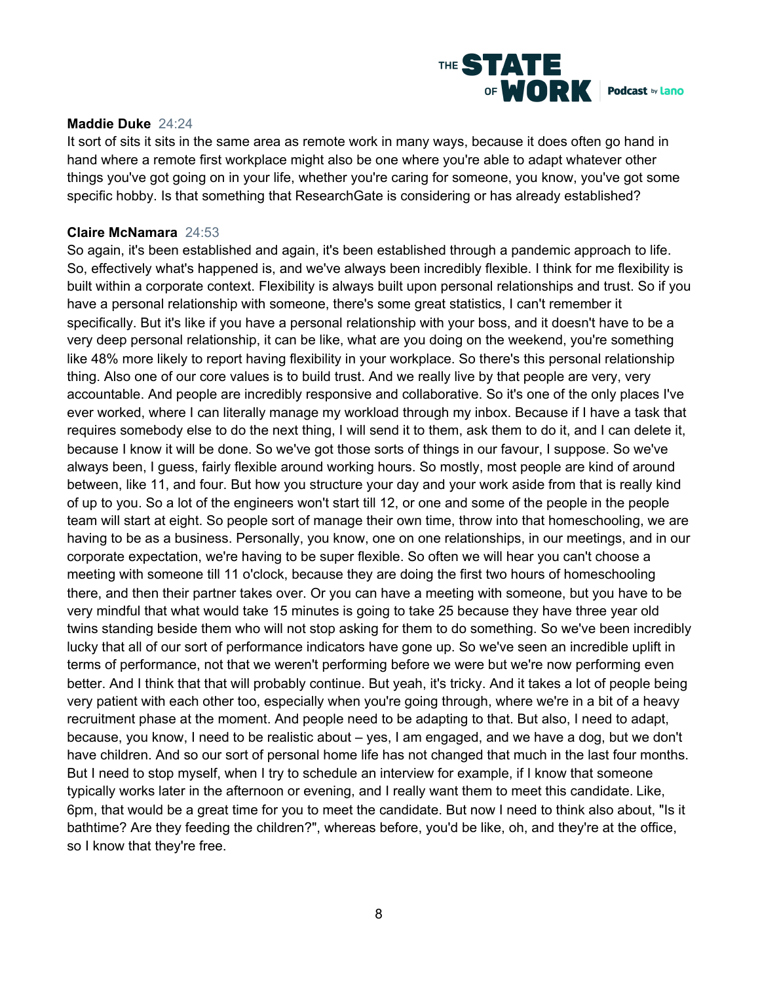

## **Maddie Duke** 24:24

It sort of sits it sits in the same area as remote work in many ways, because it does often go hand in hand where a remote first workplace might also be one where you're able to adapt whatever other things you've got going on in your life, whether you're caring for someone, you know, you've got some specific hobby. Is that something that ResearchGate is considering or has already established?

#### **Claire McNamara** 24:53

So again, it's been established and again, it's been established through a pandemic approach to life. So, effectively what's happened is, and we've always been incredibly flexible. I think for me flexibility is built within a corporate context. Flexibility is always built upon personal relationships and trust. So if you have a personal relationship with someone, there's some great statistics, I can't remember it specifically. But it's like if you have a personal relationship with your boss, and it doesn't have to be a very deep personal relationship, it can be like, what are you doing on the weekend, you're something like 48% more likely to report having flexibility in your workplace. So there's this personal relationship thing. Also one of our core values is to build trust. And we really live by that people are very, very accountable. And people are incredibly responsive and collaborative. So it's one of the only places I've ever worked, where I can literally manage my workload through my inbox. Because if I have a task that requires somebody else to do the next thing, I will send it to them, ask them to do it, and I can delete it, because I know it will be done. So we've got those sorts of things in our favour, I suppose. So we've always been, I guess, fairly flexible around working hours. So mostly, most people are kind of around between, like 11, and four. But how you structure your day and your work aside from that is really kind of up to you. So a lot of the engineers won't start till 12, or one and some of the people in the people team will start at eight. So people sort of manage their own time, throw into that homeschooling, we are having to be as a business. Personally, you know, one on one relationships, in our meetings, and in our corporate expectation, we're having to be super flexible. So often we will hear you can't choose a meeting with someone till 11 o'clock, because they are doing the first two hours of homeschooling there, and then their partner takes over. Or you can have a meeting with someone, but you have to be very mindful that what would take 15 minutes is going to take 25 because they have three year old twins standing beside them who will not stop asking for them to do something. So we've been incredibly lucky that all of our sort of performance indicators have gone up. So we've seen an incredible uplift in terms of performance, not that we weren't performing before we were but we're now performing even better. And I think that that will probably continue. But yeah, it's tricky. And it takes a lot of people being very patient with each other too, especially when you're going through, where we're in a bit of a heavy recruitment phase at the moment. And people need to be adapting to that. But also, I need to adapt, because, you know, I need to be realistic about – yes, I am engaged, and we have a dog, but we don't have children. And so our sort of personal home life has not changed that much in the last four months. But I need to stop myself, when I try to schedule an interview for example, if I know that someone typically works later in the afternoon or evening, and I really want them to meet this candidate. Like, 6pm, that would be a great time for you to meet the candidate. But now I need to think also about, "Is it bathtime? Are they feeding the children?", whereas before, you'd be like, oh, and they're at the office, so I know that they're free.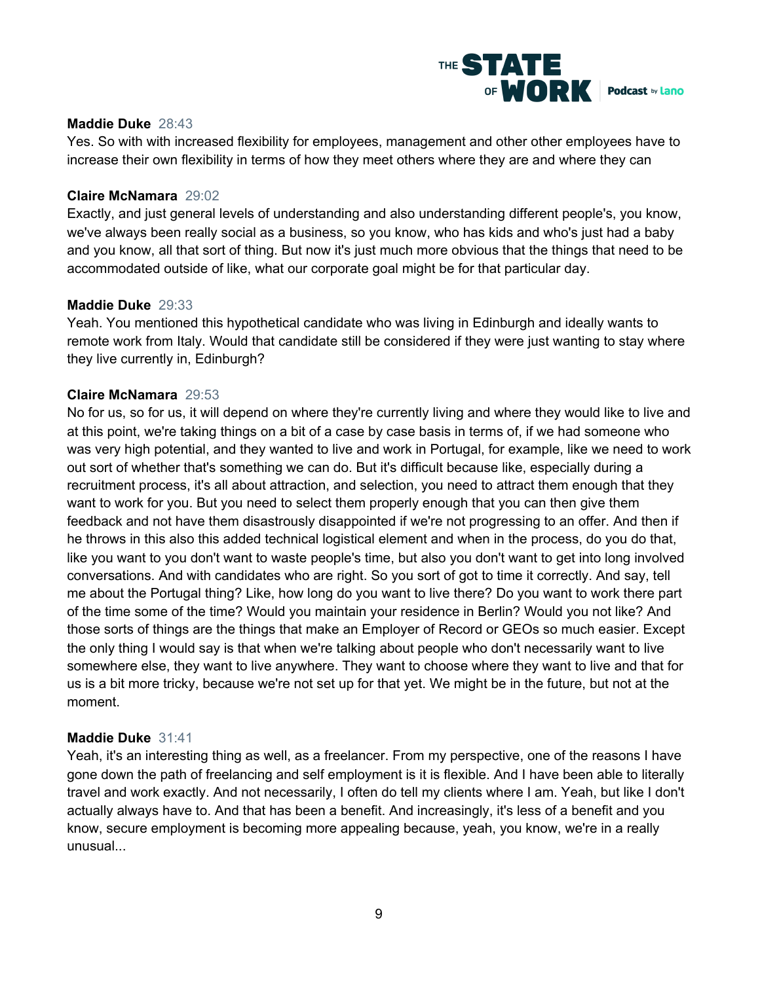

# **Maddie Duke** 28:43

Yes. So with with increased flexibility for employees, management and other other employees have to increase their own flexibility in terms of how they meet others where they are and where they can

#### **Claire McNamara** 29:02

Exactly, and just general levels of understanding and also understanding different people's, you know, we've always been really social as a business, so you know, who has kids and who's just had a baby and you know, all that sort of thing. But now it's just much more obvious that the things that need to be accommodated outside of like, what our corporate goal might be for that particular day.

#### **Maddie Duke** 29:33

Yeah. You mentioned this hypothetical candidate who was living in Edinburgh and ideally wants to remote work from Italy. Would that candidate still be considered if they were just wanting to stay where they live currently in, Edinburgh?

#### **Claire McNamara** 29:53

No for us, so for us, it will depend on where they're currently living and where they would like to live and at this point, we're taking things on a bit of a case by case basis in terms of, if we had someone who was very high potential, and they wanted to live and work in Portugal, for example, like we need to work out sort of whether that's something we can do. But it's difficult because like, especially during a recruitment process, it's all about attraction, and selection, you need to attract them enough that they want to work for you. But you need to select them properly enough that you can then give them feedback and not have them disastrously disappointed if we're not progressing to an offer. And then if he throws in this also this added technical logistical element and when in the process, do you do that, like you want to you don't want to waste people's time, but also you don't want to get into long involved conversations. And with candidates who are right. So you sort of got to time it correctly. And say, tell me about the Portugal thing? Like, how long do you want to live there? Do you want to work there part of the time some of the time? Would you maintain your residence in Berlin? Would you not like? And those sorts of things are the things that make an Employer of Record or GEOs so much easier. Except the only thing I would say is that when we're talking about people who don't necessarily want to live somewhere else, they want to live anywhere. They want to choose where they want to live and that for us is a bit more tricky, because we're not set up for that yet. We might be in the future, but not at the moment.

#### **Maddie Duke** 31:41

Yeah, it's an interesting thing as well, as a freelancer. From my perspective, one of the reasons I have gone down the path of freelancing and self employment is it is flexible. And I have been able to literally travel and work exactly. And not necessarily, I often do tell my clients where I am. Yeah, but like I don't actually always have to. And that has been a benefit. And increasingly, it's less of a benefit and you know, secure employment is becoming more appealing because, yeah, you know, we're in a really unusual...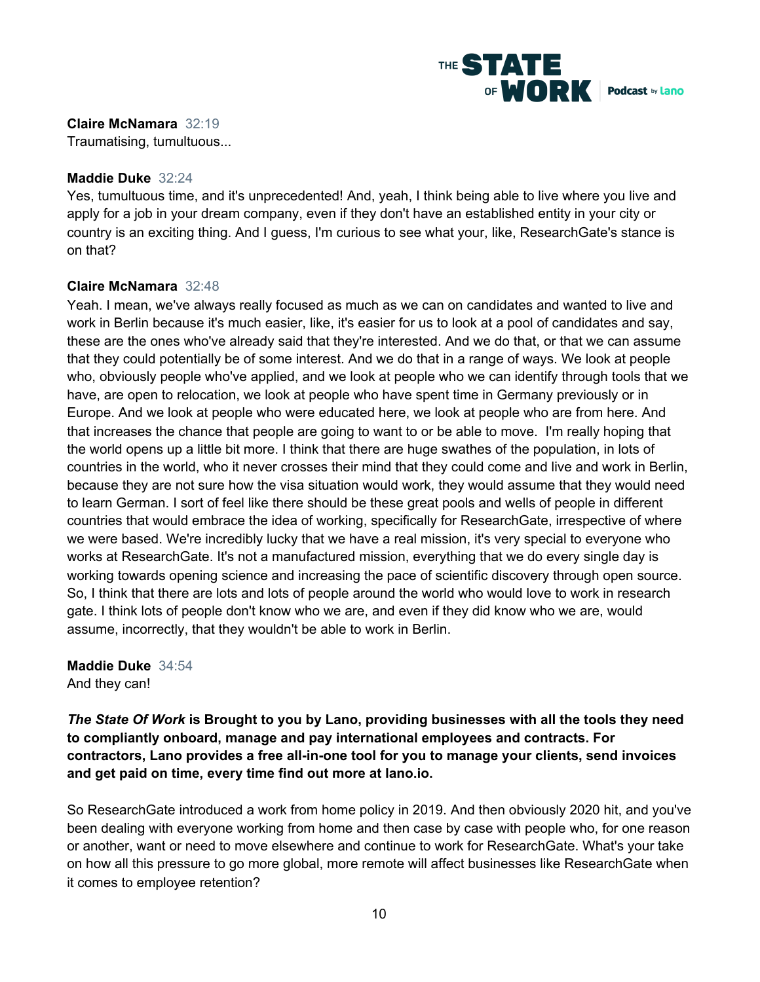

**Claire McNamara** 32:19 Traumatising, tumultuous...

# **Maddie Duke** 32:24

Yes, tumultuous time, and it's unprecedented! And, yeah, I think being able to live where you live and apply for a job in your dream company, even if they don't have an established entity in your city or country is an exciting thing. And I guess, I'm curious to see what your, like, ResearchGate's stance is on that?

# **Claire McNamara** 32:48

Yeah. I mean, we've always really focused as much as we can on candidates and wanted to live and work in Berlin because it's much easier, like, it's easier for us to look at a pool of candidates and say, these are the ones who've already said that they're interested. And we do that, or that we can assume that they could potentially be of some interest. And we do that in a range of ways. We look at people who, obviously people who've applied, and we look at people who we can identify through tools that we have, are open to relocation, we look at people who have spent time in Germany previously or in Europe. And we look at people who were educated here, we look at people who are from here. And that increases the chance that people are going to want to or be able to move. I'm really hoping that the world opens up a little bit more. I think that there are huge swathes of the population, in lots of countries in the world, who it never crosses their mind that they could come and live and work in Berlin, because they are not sure how the visa situation would work, they would assume that they would need to learn German. I sort of feel like there should be these great pools and wells of people in different countries that would embrace the idea of working, specifically for ResearchGate, irrespective of where we were based. We're incredibly lucky that we have a real mission, it's very special to everyone who works at ResearchGate. It's not a manufactured mission, everything that we do every single day is working towards opening science and increasing the pace of scientific discovery through open source. So, I think that there are lots and lots of people around the world who would love to work in research gate. I think lots of people don't know who we are, and even if they did know who we are, would assume, incorrectly, that they wouldn't be able to work in Berlin.

# **Maddie Duke** 34:54 And they can!

*The State Of Work* **is Brought to you by Lano, providing businesses with all the tools they need to compliantly onboard, manage and pay international employees and contracts. For contractors, Lano provides a free all-in-one tool for you to manage your clients, send invoices and get paid on time, every time find out more at lano.io.**

So ResearchGate introduced a work from home policy in 2019. And then obviously 2020 hit, and you've been dealing with everyone working from home and then case by case with people who, for one reason or another, want or need to move elsewhere and continue to work for ResearchGate. What's your take on how all this pressure to go more global, more remote will affect businesses like ResearchGate when it comes to employee retention?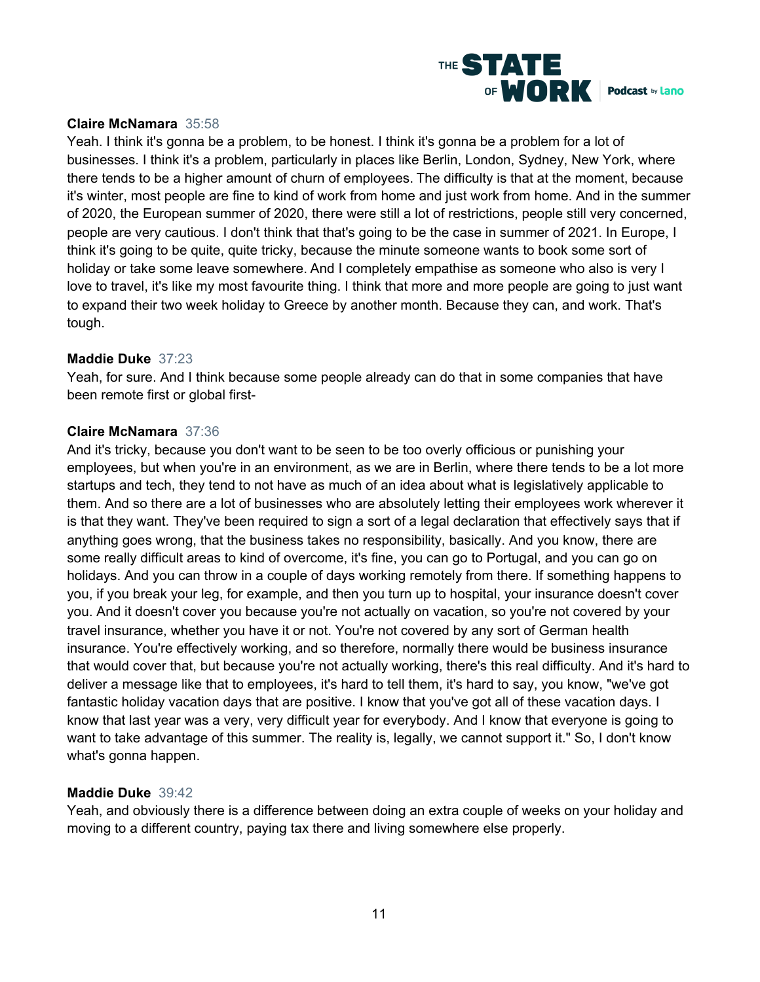

# **Claire McNamara** 35:58

Yeah. I think it's gonna be a problem, to be honest. I think it's gonna be a problem for a lot of businesses. I think it's a problem, particularly in places like Berlin, London, Sydney, New York, where there tends to be a higher amount of churn of employees. The difficulty is that at the moment, because it's winter, most people are fine to kind of work from home and just work from home. And in the summer of 2020, the European summer of 2020, there were still a lot of restrictions, people still very concerned, people are very cautious. I don't think that that's going to be the case in summer of 2021. In Europe, I think it's going to be quite, quite tricky, because the minute someone wants to book some sort of holiday or take some leave somewhere. And I completely empathise as someone who also is very I love to travel, it's like my most favourite thing. I think that more and more people are going to just want to expand their two week holiday to Greece by another month. Because they can, and work. That's tough.

## **Maddie Duke** 37:23

Yeah, for sure. And I think because some people already can do that in some companies that have been remote first or global first-

# **Claire McNamara** 37:36

And it's tricky, because you don't want to be seen to be too overly officious or punishing your employees, but when you're in an environment, as we are in Berlin, where there tends to be a lot more startups and tech, they tend to not have as much of an idea about what is legislatively applicable to them. And so there are a lot of businesses who are absolutely letting their employees work wherever it is that they want. They've been required to sign a sort of a legal declaration that effectively says that if anything goes wrong, that the business takes no responsibility, basically. And you know, there are some really difficult areas to kind of overcome, it's fine, you can go to Portugal, and you can go on holidays. And you can throw in a couple of days working remotely from there. If something happens to you, if you break your leg, for example, and then you turn up to hospital, your insurance doesn't cover you. And it doesn't cover you because you're not actually on vacation, so you're not covered by your travel insurance, whether you have it or not. You're not covered by any sort of German health insurance. You're effectively working, and so therefore, normally there would be business insurance that would cover that, but because you're not actually working, there's this real difficulty. And it's hard to deliver a message like that to employees, it's hard to tell them, it's hard to say, you know, "we've got fantastic holiday vacation days that are positive. I know that you've got all of these vacation days. I know that last year was a very, very difficult year for everybody. And I know that everyone is going to want to take advantage of this summer. The reality is, legally, we cannot support it." So, I don't know what's gonna happen.

## **Maddie Duke** 39:42

Yeah, and obviously there is a difference between doing an extra couple of weeks on your holiday and moving to a different country, paying tax there and living somewhere else properly.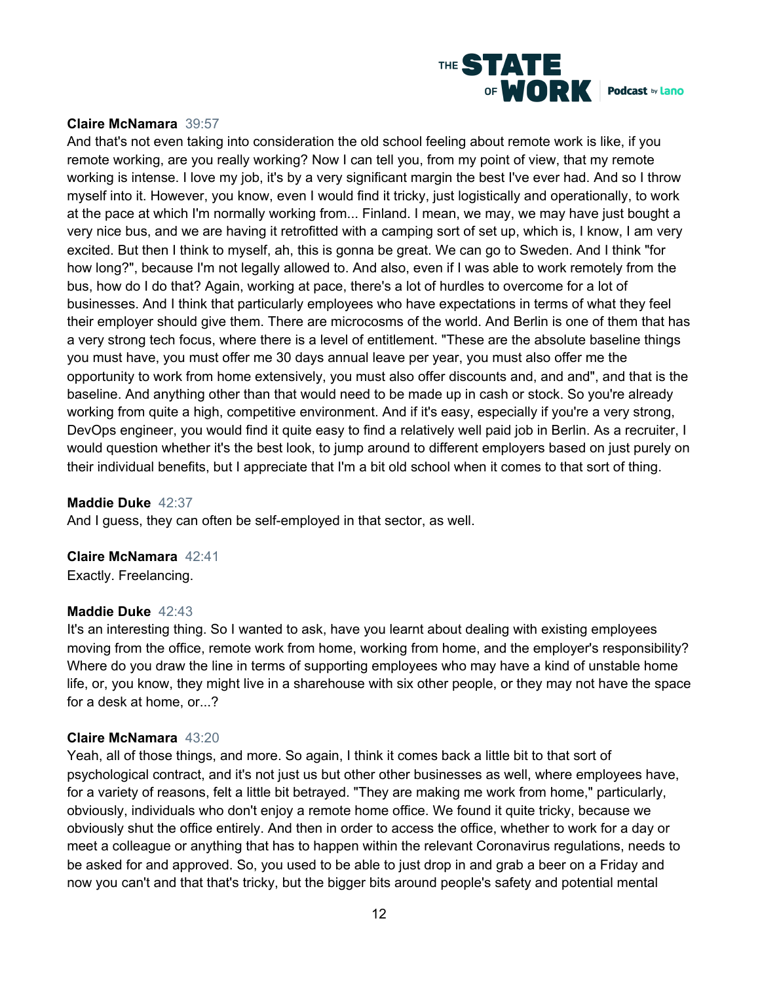

# **Claire McNamara** 39:57

And that's not even taking into consideration the old school feeling about remote work is like, if you remote working, are you really working? Now I can tell you, from my point of view, that my remote working is intense. I love my job, it's by a very significant margin the best I've ever had. And so I throw myself into it. However, you know, even I would find it tricky, just logistically and operationally, to work at the pace at which I'm normally working from... Finland. I mean, we may, we may have just bought a very nice bus, and we are having it retrofitted with a camping sort of set up, which is, I know, I am very excited. But then I think to myself, ah, this is gonna be great. We can go to Sweden. And I think "for how long?", because I'm not legally allowed to. And also, even if I was able to work remotely from the bus, how do I do that? Again, working at pace, there's a lot of hurdles to overcome for a lot of businesses. And I think that particularly employees who have expectations in terms of what they feel their employer should give them. There are microcosms of the world. And Berlin is one of them that has a very strong tech focus, where there is a level of entitlement. "These are the absolute baseline things you must have, you must offer me 30 days annual leave per year, you must also offer me the opportunity to work from home extensively, you must also offer discounts and, and and", and that is the baseline. And anything other than that would need to be made up in cash or stock. So you're already working from quite a high, competitive environment. And if it's easy, especially if you're a very strong, DevOps engineer, you would find it quite easy to find a relatively well paid job in Berlin. As a recruiter, I would question whether it's the best look, to jump around to different employers based on just purely on their individual benefits, but I appreciate that I'm a bit old school when it comes to that sort of thing.

## **Maddie Duke** 42:37

And I guess, they can often be self-employed in that sector, as well.

## **Claire McNamara** 42:41

Exactly. Freelancing.

## **Maddie Duke** 42:43

It's an interesting thing. So I wanted to ask, have you learnt about dealing with existing employees moving from the office, remote work from home, working from home, and the employer's responsibility? Where do you draw the line in terms of supporting employees who may have a kind of unstable home life, or, you know, they might live in a sharehouse with six other people, or they may not have the space for a desk at home, or...?

## **Claire McNamara** 43:20

Yeah, all of those things, and more. So again, I think it comes back a little bit to that sort of psychological contract, and it's not just us but other other businesses as well, where employees have, for a variety of reasons, felt a little bit betrayed. "They are making me work from home," particularly, obviously, individuals who don't enjoy a remote home office. We found it quite tricky, because we obviously shut the office entirely. And then in order to access the office, whether to work for a day or meet a colleague or anything that has to happen within the relevant Coronavirus regulations, needs to be asked for and approved. So, you used to be able to just drop in and grab a beer on a Friday and now you can't and that that's tricky, but the bigger bits around people's safety and potential mental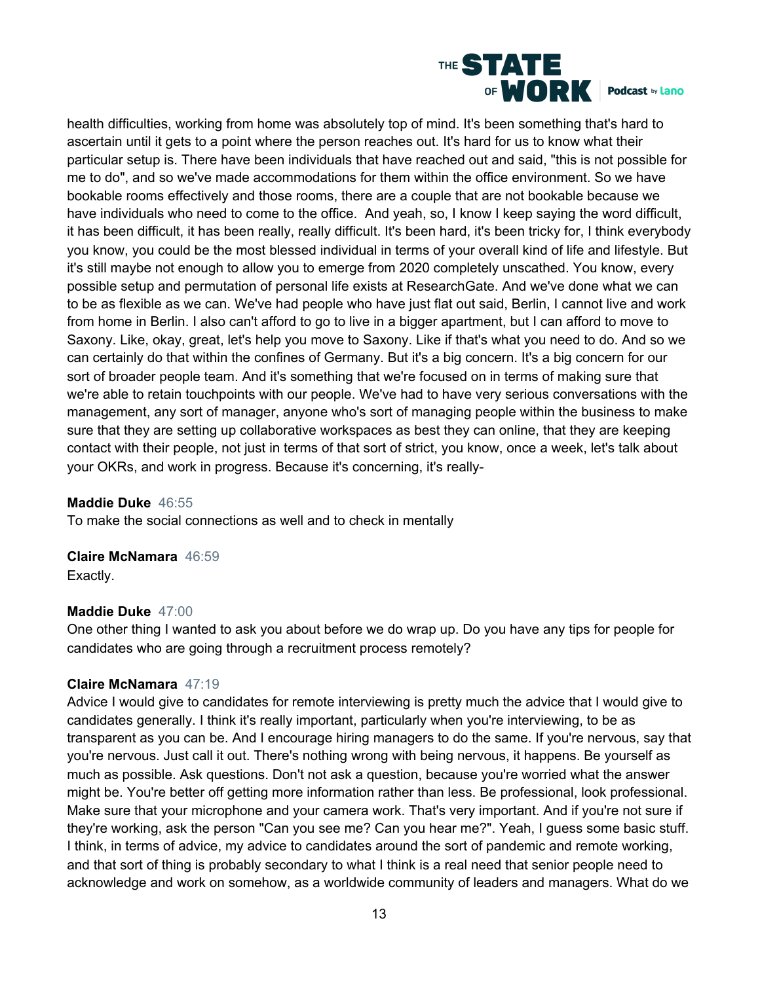

health difficulties, working from home was absolutely top of mind. It's been something that's hard to ascertain until it gets to a point where the person reaches out. It's hard for us to know what their particular setup is. There have been individuals that have reached out and said, "this is not possible for me to do", and so we've made accommodations for them within the office environment. So we have bookable rooms effectively and those rooms, there are a couple that are not bookable because we have individuals who need to come to the office. And yeah, so, I know I keep saying the word difficult, it has been difficult, it has been really, really difficult. It's been hard, it's been tricky for, I think everybody you know, you could be the most blessed individual in terms of your overall kind of life and lifestyle. But it's still maybe not enough to allow you to emerge from 2020 completely unscathed. You know, every possible setup and permutation of personal life exists at ResearchGate. And we've done what we can to be as flexible as we can. We've had people who have just flat out said, Berlin, I cannot live and work from home in Berlin. I also can't afford to go to live in a bigger apartment, but I can afford to move to Saxony. Like, okay, great, let's help you move to Saxony. Like if that's what you need to do. And so we can certainly do that within the confines of Germany. But it's a big concern. It's a big concern for our sort of broader people team. And it's something that we're focused on in terms of making sure that we're able to retain touchpoints with our people. We've had to have very serious conversations with the management, any sort of manager, anyone who's sort of managing people within the business to make sure that they are setting up collaborative workspaces as best they can online, that they are keeping contact with their people, not just in terms of that sort of strict, you know, once a week, let's talk about your OKRs, and work in progress. Because it's concerning, it's really-

# **Maddie Duke** 46:55

To make the social connections as well and to check in mentally

**Claire McNamara** 46:59

Exactly.

# **Maddie Duke** 47:00

One other thing I wanted to ask you about before we do wrap up. Do you have any tips for people for candidates who are going through a recruitment process remotely?

## **Claire McNamara** 47:19

Advice I would give to candidates for remote interviewing is pretty much the advice that I would give to candidates generally. I think it's really important, particularly when you're interviewing, to be as transparent as you can be. And I encourage hiring managers to do the same. If you're nervous, say that you're nervous. Just call it out. There's nothing wrong with being nervous, it happens. Be yourself as much as possible. Ask questions. Don't not ask a question, because you're worried what the answer might be. You're better off getting more information rather than less. Be professional, look professional. Make sure that your microphone and your camera work. That's very important. And if you're not sure if they're working, ask the person "Can you see me? Can you hear me?". Yeah, I guess some basic stuff. I think, in terms of advice, my advice to candidates around the sort of pandemic and remote working, and that sort of thing is probably secondary to what I think is a real need that senior people need to acknowledge and work on somehow, as a worldwide community of leaders and managers. What do we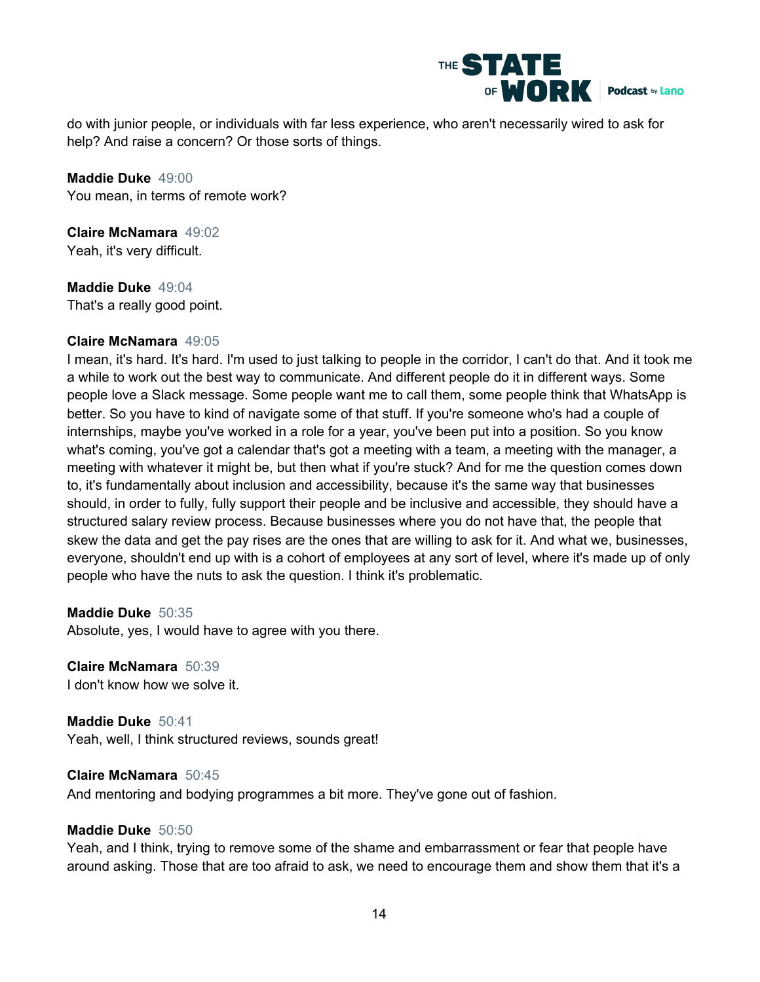

do with junior people, or individuals with far less experience, who aren't necessarily wired to ask for help? And raise a concern? Or those sorts of things.

**Maddie Duke** 49:00 You mean, in terms of remote work?

**Claire McNamara** 49:02 Yeah, it's very difficult.

**Maddie Duke** 49:04 That's a really good point.

# **Claire McNamara** 49:05

I mean, it's hard. It's hard. I'm used to just talking to people in the corridor, I can't do that. And it took me a while to work out the best way to communicate. And different people do it in different ways. Some people love a Slack message. Some people want me to call them, some people think that WhatsApp is better. So you have to kind of navigate some of that stuff. If you're someone who's had a couple of internships, maybe you've worked in a role for a year, you've been put into a position. So you know what's coming, you've got a calendar that's got a meeting with a team, a meeting with the manager, a meeting with whatever it might be, but then what if you're stuck? And for me the question comes down to, it's fundamentally about inclusion and accessibility, because it's the same way that businesses should, in order to fully, fully support their people and be inclusive and accessible, they should have a structured salary review process. Because businesses where you do not have that, the people that skew the data and get the pay rises are the ones that are willing to ask for it. And what we, businesses, everyone, shouldn't end up with is a cohort of employees at any sort of level, where it's made up of only people who have the nuts to ask the question. I think it's problematic.

## **Maddie Duke** 50:35

Absolute, yes, I would have to agree with you there.

**Claire McNamara** 50:39 I don't know how we solve it.

**Maddie Duke** 50:41 Yeah, well, I think structured reviews, sounds great!

## **Claire McNamara** 50:45

And mentoring and bodying programmes a bit more. They've gone out of fashion.

## **Maddie Duke** 50:50

Yeah, and I think, trying to remove some of the shame and embarrassment or fear that people have around asking. Those that are too afraid to ask, we need to encourage them and show them that it's a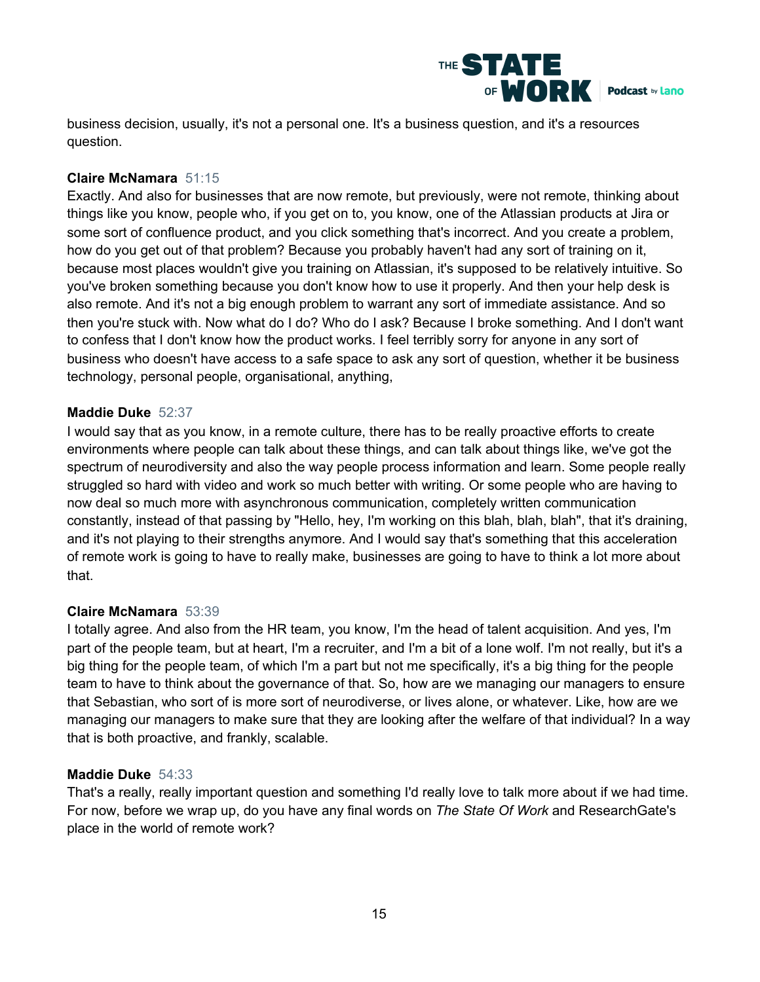

business decision, usually, it's not a personal one. It's a business question, and it's a resources question.

# **Claire McNamara** 51:15

Exactly. And also for businesses that are now remote, but previously, were not remote, thinking about things like you know, people who, if you get on to, you know, one of the Atlassian products at Jira or some sort of confluence product, and you click something that's incorrect. And you create a problem, how do you get out of that problem? Because you probably haven't had any sort of training on it, because most places wouldn't give you training on Atlassian, it's supposed to be relatively intuitive. So you've broken something because you don't know how to use it properly. And then your help desk is also remote. And it's not a big enough problem to warrant any sort of immediate assistance. And so then you're stuck with. Now what do I do? Who do I ask? Because I broke something. And I don't want to confess that I don't know how the product works. I feel terribly sorry for anyone in any sort of business who doesn't have access to a safe space to ask any sort of question, whether it be business technology, personal people, organisational, anything,

# **Maddie Duke** 52:37

I would say that as you know, in a remote culture, there has to be really proactive efforts to create environments where people can talk about these things, and can talk about things like, we've got the spectrum of neurodiversity and also the way people process information and learn. Some people really struggled so hard with video and work so much better with writing. Or some people who are having to now deal so much more with asynchronous communication, completely written communication constantly, instead of that passing by "Hello, hey, I'm working on this blah, blah, blah", that it's draining, and it's not playing to their strengths anymore. And I would say that's something that this acceleration of remote work is going to have to really make, businesses are going to have to think a lot more about that.

# **Claire McNamara** 53:39

I totally agree. And also from the HR team, you know, I'm the head of talent acquisition. And yes, I'm part of the people team, but at heart, I'm a recruiter, and I'm a bit of a lone wolf. I'm not really, but it's a big thing for the people team, of which I'm a part but not me specifically, it's a big thing for the people team to have to think about the governance of that. So, how are we managing our managers to ensure that Sebastian, who sort of is more sort of neurodiverse, or lives alone, or whatever. Like, how are we managing our managers to make sure that they are looking after the welfare of that individual? In a way that is both proactive, and frankly, scalable.

# **Maddie Duke** 54:33

That's a really, really important question and something I'd really love to talk more about if we had time. For now, before we wrap up, do you have any final words on *The State Of Work* and ResearchGate's place in the world of remote work?